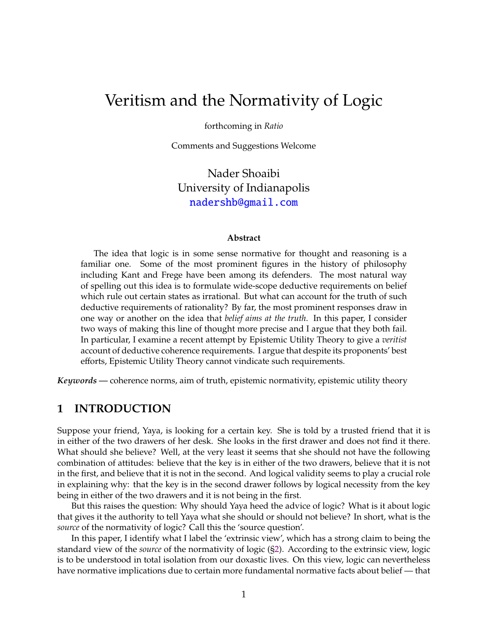# <span id="page-0-0"></span>Veritism and the Normativity of Logic

forthcoming in *Ratio*

Comments and Suggestions Welcome

Nader Shoaibi University of Indianapolis <nadershb@gmail.com>

#### **Abstract**

The idea that logic is in some sense normative for thought and reasoning is a familiar one. Some of the most prominent figures in the history of philosophy including Kant and Frege have been among its defenders. The most natural way of spelling out this idea is to formulate wide-scope deductive requirements on belief which rule out certain states as irrational. But what can account for the truth of such deductive requirements of rationality? By far, the most prominent responses draw in one way or another on the idea that *belief aims at the truth*. In this paper, I consider two ways of making this line of thought more precise and I argue that they both fail. In particular, I examine a recent attempt by Epistemic Utility Theory to give a *veritist* account of deductive coherence requirements. I argue that despite its proponents' best efforts, Epistemic Utility Theory cannot vindicate such requirements.

*Keywords —* coherence norms, aim of truth, epistemic normativity, epistemic utility theory

### **1 INTRODUCTION**

Suppose your friend, Yaya, is looking for a certain key. She is told by a trusted friend that it is in either of the two drawers of her desk. She looks in the first drawer and does not find it there. What should she believe? Well, at the very least it seems that she should not have the following combination of attitudes: believe that the key is in either of the two drawers, believe that it is not in the first, and believe that it is not in the second. And logical validity seems to play a crucial role in explaining why: that the key is in the second drawer follows by logical necessity from the key being in either of the two drawers and it is not being in the first.

But this raises the question: Why should Yaya heed the advice of logic? What is it about logic that gives it the authority to tell Yaya what she should or should not believe? In short, what is the *source* of the normativity of logic? Call this the 'source question'.

In this paper, I identify what I label the 'extrinsic view', which has a strong claim to being the standard view of the *source* of the normativity of logic ([§2\)](#page-1-0). According to the extrinsic view, logic is to be understood in total isolation from our doxastic lives. On this view, logic can nevertheless have normative implications due to certain more fundamental normative facts about belief — that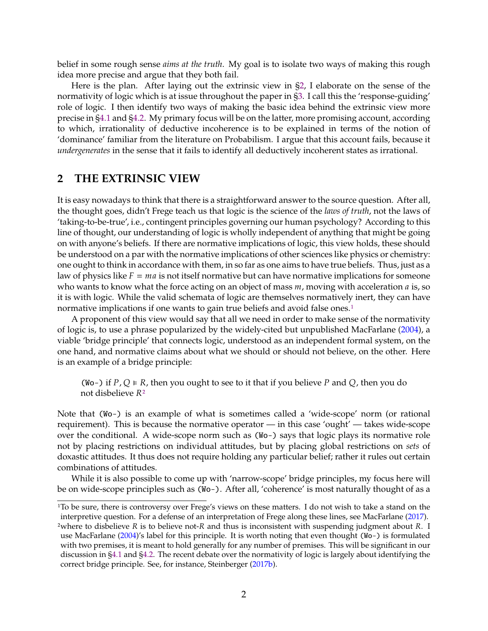<span id="page-1-1"></span>belief in some rough sense *aims at the truth*. My goal is to isolate two ways of making this rough idea more precise and argue that they both fail.

Here is the plan. After laying out the extrinsic view in [§2,](#page-1-0) I elaborate on the sense of the normativity of logic which is at issue throughout the paper in [§3.](#page-3-0) I call this the 'response-guiding' role of logic. I then identify two ways of making the basic idea behind the extrinsic view more precise in [§4.1](#page-5-0) and [§4.2.](#page-6-0) My primary focus will be on the latter, more promising account, according to which, irrationality of deductive incoherence is to be explained in terms of the notion of 'dominance' familiar from the literature on Probabilism. I argue that this account fails, because it *undergenerates* in the sense that it fails to identify all deductively incoherent states as irrational.

## <span id="page-1-0"></span>**2 THE EXTRINSIC VIEW**

It is easy nowadays to think that there is a straightforward answer to the source question. After all, the thought goes, didn't Frege teach us that logic is the science of the *laws of truth*, not the laws of 'taking-to-be-true', i.e., contingent principles governing our human psychology? According to this line of thought, our understanding of logic is wholly independent of anything that might be going on with anyone's beliefs. If there are normative implications of logic, this view holds, these should be understood on a par with the normative implications of other sciences like physics or chemistry: one ought to think in accordance with them, in so far as one aims to have true beliefs. Thus, just as a law of physics like  $F = ma$  is not itself normative but can have normative implications for someone who wants to know what the force acting on an object of mass  $m$ , moving with acceleration  $a$  is, so it is with logic. While the valid schemata of logic are themselves normatively inert, they can have normative implications if one wants to gain true beliefs and avoid false ones.<sup>[1](#page-0-0)</sup>

A proponent of this view would say that all we need in order to make sense of the normativity of logic is, to use a phrase popularized by the widely-cited but unpublished MacFarlane [\(2004\)](#page-13-0), a viable 'bridge principle' that connects logic, understood as an independent formal system, on the one hand, and normative claims about what we should or should not believe, on the other. Here is an example of a bridge principle:

(Wo-) if  $P$ ,  $Q \in R$ , then you ought to see to it that if you believe P and  $Q$ , then you do not disbelieve  $R^2$ 

Note that (Wo-) is an example of what is sometimes called a 'wide-scope' norm (or rational requirement). This is because the normative operator — in this case 'ought' — takes wide-scope over the conditional. A wide-scope norm such as (Wo-) says that logic plays its normative role not by placing restrictions on individual attitudes, but by placing global restrictions on *sets* of doxastic attitudes. It thus does not require holding any particular belief; rather it rules out certain combinations of attitudes.

While it is also possible to come up with 'narrow-scope' bridge principles, my focus here will be on wide-scope principles such as (Wo-). After all, 'coherence' is most naturally thought of as a

<sup>&</sup>lt;sup>1</sup>To be sure, there is controversy over Frege's views on these matters. I do not wish to take a stand on the interpretive question. For a defense of an interpretation of Frege along these lines, see MacFarlane [\(2017\)](#page-13-1).

<sup>&</sup>lt;sup>2</sup>where to disbelieve  $R$  is to believe not- $R$  and thus is inconsistent with suspending judgment about  $R$ . I use MacFarlane [\(2004\)](#page-13-0)'s label for this principle. It is worth noting that even thought (Wo-) is formulated with two premises, it is meant to hold generally for any number of premises. This will be significant in our discussion in [§4.1](#page-5-0) and [§4.2.](#page-6-0) The recent debate over the normativity of logic is largely about identifying the correct bridge principle. See, for instance, Steinberger [\(2017b\)](#page-14-0).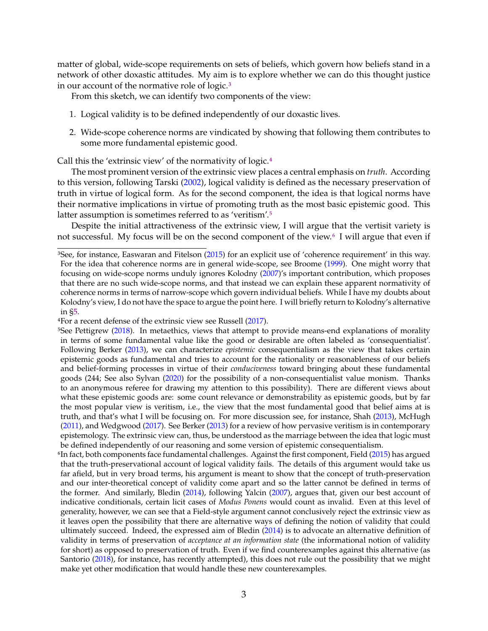<span id="page-2-0"></span>matter of global, wide-scope requirements on sets of beliefs, which govern how beliefs stand in a network of other doxastic attitudes. My aim is to explore whether we can do this thought justice in our account of the normative role of logic.<sup>[3](#page-0-0)</sup>

From this sketch, we can identify two components of the view:

- 1. Logical validity is to be defined independently of our doxastic lives.
- 2. Wide-scope coherence norms are vindicated by showing that following them contributes to some more fundamental epistemic good.

Call this the 'extrinsic view' of the normativity of logic.[4](#page-0-0)

The most prominent version of the extrinsic view places a central emphasis on *truth*. According to this version, following Tarski [\(2002\)](#page-14-1), logical validity is defined as the necessary preservation of truth in virtue of logical form. As for the second component, the idea is that logical norms have their normative implications in virtue of promoting truth as the most basic epistemic good. This latter assumption is sometimes referred to as 'veritism'.[5](#page-0-0)

Despite the initial attractiveness of the extrinsic view, I will argue that the vertisit variety is not successful. My focus will be on the second component of the view.<sup>[6](#page-0-0)</sup> I will argue that even if

<sup>3</sup>See, for instance, Easwaran and Fitelson [\(2015\)](#page-13-2) for an explicit use of 'coherence requirement' in this way. For the idea that coherence norms are in general wide-scope, see Broome [\(1999\)](#page-13-3). One might worry that focusing on wide-scope norms unduly ignores Kolodny [\(2007\)](#page-13-4)'s important contribution, which proposes that there are no such wide-scope norms, and that instead we can explain these apparent normativity of coherence norms in terms of narrow-scope which govern individual beliefs. While I have my doubts about Kolodny's view, I do not have the space to argue the point here. I will briefly return to Kolodny's alternative in [§5.](#page-11-0)

<sup>4</sup>For a recent defense of the extrinsic view see Russell [\(2017\)](#page-14-2).

<sup>&</sup>lt;sup>5</sup>See Pettigrew [\(2018\)](#page-14-3). In metaethics, views that attempt to provide means-end explanations of morality in terms of some fundamental value like the good or desirable are often labeled as 'consequentialist'. Following Berker [\(2013\)](#page-13-5), we can characterize *epistemic* consequentialism as the view that takes certain epistemic goods as fundamental and tries to account for the rationality or reasonableness of our beliefs and belief-forming processes in virtue of their *conduciveness* toward bringing about these fundamental goods (244; See also Sylvan [\(2020\)](#page-14-4) for the possibility of a non-consequentialist value monism. Thanks to an anonymous referee for drawing my attention to this possibility). There are different views about what these epistemic goods are: some count relevance or demonstrability as epistemic goods, but by far the most popular view is veritism, i.e., the view that the most fundamental good that belief aims at is truth, and that's what I will be focusing on. For more discussion see, for instance, Shah [\(2013\)](#page-14-5), McHugh [\(2011\)](#page-13-6), and Wedgwood [\(2017\)](#page-14-6). See Berker [\(2013\)](#page-13-5) for a review of how pervasive veritism is in contemporary epistemology. The extrinsic view can, thus, be understood as the marriage between the idea that logic must be defined independently of our reasoning and some version of epistemic consequentialism.

<sup>&</sup>lt;sup>6</sup>In fact, both components face fundamental challenges. Against the first component, Field [\(2015\)](#page-13-7) has argued that the truth-preservational account of logical validity fails. The details of this argument would take us far afield, but in very broad terms, his argument is meant to show that the concept of truth-preservation and our inter-theoretical concept of validity come apart and so the latter cannot be defined in terms of the former. And similarly, Bledin [\(2014\)](#page-13-8), following Yalcin [\(2007\)](#page-14-7), argues that, given our best account of indicative conditionals, certain licit cases of *Modus Ponens* would count as invalid. Even at this level of generality, however, we can see that a Field-style argument cannot conclusively reject the extrinsic view as it leaves open the possibility that there are alternative ways of defining the notion of validity that could ultimately succeed. Indeed, the expressed aim of Bledin [\(2014\)](#page-13-8) is to advocate an alternative definition of validity in terms of preservation of *acceptance at an information state* (the informational notion of validity for short) as opposed to preservation of truth. Even if we find counterexamples against this alternative (as Santorio [\(2018\)](#page-14-8), for instance, has recently attempted), this does not rule out the possibility that we might make yet other modification that would handle these new counterexamples.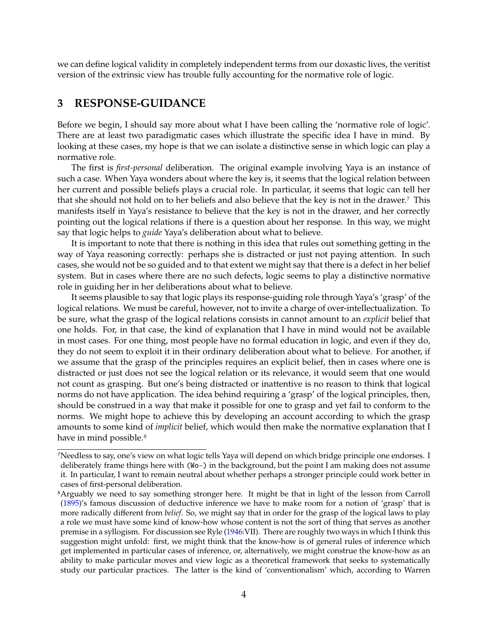<span id="page-3-1"></span>we can define logical validity in completely independent terms from our doxastic lives, the veritist version of the extrinsic view has trouble fully accounting for the normative role of logic.

#### <span id="page-3-0"></span>**3 RESPONSE-GUIDANCE**

Before we begin, I should say more about what I have been calling the 'normative role of logic'. There are at least two paradigmatic cases which illustrate the specific idea I have in mind. By looking at these cases, my hope is that we can isolate a distinctive sense in which logic can play a normative role.

The first is *first-personal* deliberation. The original example involving Yaya is an instance of such a case. When Yaya wonders about where the key is, it seems that the logical relation between her current and possible beliefs plays a crucial role. In particular, it seems that logic can tell her that she should not hold on to her beliefs and also believe that the key is not in the drawer.<sup>[7](#page-0-0)</sup> This manifests itself in Yaya's resistance to believe that the key is not in the drawer, and her correctly pointing out the logical relations if there is a question about her response. In this way, we might say that logic helps to *guide* Yaya's deliberation about what to believe.

It is important to note that there is nothing in this idea that rules out something getting in the way of Yaya reasoning correctly: perhaps she is distracted or just not paying attention. In such cases, she would not be so guided and to that extent we might say that there is a defect in her belief system. But in cases where there are no such defects, logic seems to play a distinctive normative role in guiding her in her deliberations about what to believe.

It seems plausible to say that logic plays its response-guiding role through Yaya's 'grasp' of the logical relations. We must be careful, however, not to invite a charge of over-intellectualization. To be sure, what the grasp of the logical relations consists in cannot amount to an *explicit* belief that one holds. For, in that case, the kind of explanation that I have in mind would not be available in most cases. For one thing, most people have no formal education in logic, and even if they do, they do not seem to exploit it in their ordinary deliberation about what to believe. For another, if we assume that the grasp of the principles requires an explicit belief, then in cases where one is distracted or just does not see the logical relation or its relevance, it would seem that one would not count as grasping. But one's being distracted or inattentive is no reason to think that logical norms do not have application. The idea behind requiring a 'grasp' of the logical principles, then, should be construed in a way that make it possible for one to grasp and yet fail to conform to the norms. We might hope to achieve this by developing an account according to which the grasp amounts to some kind of *implicit* belief, which would then make the normative explanation that I have in mind possible.<sup>[8](#page-0-0)</sup>

<sup>7</sup>Needless to say, one's view on what logic tells Yaya will depend on which bridge principle one endorses. I deliberately frame things here with (Wo-) in the background, but the point I am making does not assume it. In particular, I want to remain neutral about whether perhaps a stronger principle could work better in cases of first-personal deliberation.

<sup>&</sup>lt;sup>8</sup>Arguably we need to say something stronger here. It might be that in light of the lesson from Carroll [\(1895\)](#page-13-9)'s famous discussion of deductive inference we have to make room for a notion of 'grasp' that is more radically different from *belief*. So, we might say that in order for the grasp of the logical laws to play a role we must have some kind of know-how whose content is not the sort of thing that serves as another premise in a syllogism. For discussion see Ryle [\(1946:](#page-14-9)VII). There are roughly two ways in which I think this suggestion might unfold: first, we might think that the know-how is of general rules of inference which get implemented in particular cases of inference, or, alternatively, we might construe the know-how as an ability to make particular moves and view logic as a theoretical framework that seeks to systematically study our particular practices. The latter is the kind of 'conventionalism' which, according to Warren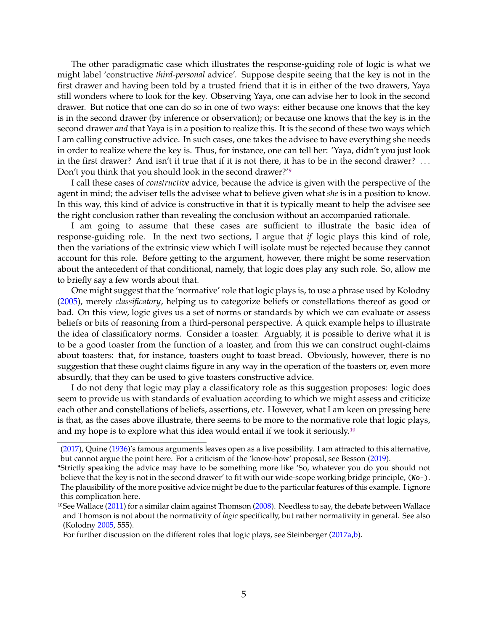<span id="page-4-0"></span>The other paradigmatic case which illustrates the response-guiding role of logic is what we might label 'constructive *third-personal* advice'. Suppose despite seeing that the key is not in the first drawer and having been told by a trusted friend that it is in either of the two drawers, Yaya still wonders where to look for the key. Observing Yaya, one can advise her to look in the second drawer. But notice that one can do so in one of two ways: either because one knows that the key is in the second drawer (by inference or observation); or because one knows that the key is in the second drawer *and* that Yaya is in a position to realize this. It is the second of these two ways which I am calling constructive advice. In such cases, one takes the advisee to have everything she needs in order to realize where the key is. Thus, for instance, one can tell her: 'Yaya, didn't you just look in the first drawer? And isn't it true that if it is not there, it has to be in the second drawer? . . . Don't you think that you should look in the second drawer?'[9](#page-0-0)

I call these cases of *constructive* advice, because the advice is given with the perspective of the agent in mind; the adviser tells the advisee what to believe given what *she* is in a position to know. In this way, this kind of advice is constructive in that it is typically meant to help the advisee see the right conclusion rather than revealing the conclusion without an accompanied rationale.

I am going to assume that these cases are sufficient to illustrate the basic idea of response-guiding role. In the next two sections, I argue that *if* logic plays this kind of role, then the variations of the extrinsic view which I will isolate must be rejected because they cannot account for this role. Before getting to the argument, however, there might be some reservation about the antecedent of that conditional, namely, that logic does play any such role. So, allow me to briefly say a few words about that.

One might suggest that the 'normative' role that logic plays is, to use a phrase used by Kolodny [\(2005\)](#page-13-10), merely *classificatory*, helping us to categorize beliefs or constellations thereof as good or bad. On this view, logic gives us a set of norms or standards by which we can evaluate or assess beliefs or bits of reasoning from a third-personal perspective. A quick example helps to illustrate the idea of classificatory norms. Consider a toaster. Arguably, it is possible to derive what it is to be a good toaster from the function of a toaster, and from this we can construct ought-claims about toasters: that, for instance, toasters ought to toast bread. Obviously, however, there is no suggestion that these ought claims figure in any way in the operation of the toasters or, even more absurdly, that they can be used to give toasters constructive advice.

I do not deny that logic may play a classificatory role as this suggestion proposes: logic does seem to provide us with standards of evaluation according to which we might assess and criticize each other and constellations of beliefs, assertions, etc. However, what I am keen on pressing here is that, as the cases above illustrate, there seems to be more to the normative role that logic plays, and my hope is to explore what this idea would entail if we took it seriously.[10](#page-0-0)

[<sup>\(2017\)</sup>](#page-14-10), Quine [\(1936\)](#page-14-11)'s famous arguments leaves open as a live possibility. I am attracted to this alternative, but cannot argue the point here. For a criticism of the 'know-how' proposal, see Besson [\(2019\)](#page-13-11).

<sup>9</sup>Strictly speaking the advice may have to be something more like 'So, whatever you do you should not believe that the key is not in the second drawer' to fit with our wide-scope working bridge principle, (Wo-). The plausibility of the more positive advice might be due to the particular features of this example. I ignore this complication here.

 $10$ See Wallace [\(2011\)](#page-14-12) for a similar claim against Thomson [\(2008\)](#page-14-13). Needless to say, the debate between Wallace and Thomson is not about the normativity of *logic* specifically, but rather normativity in general. See also (Kolodny [2005,](#page-13-10) 555).

For further discussion on the different roles that logic plays, see Steinberger [\(2017a,](#page-14-14)[b\)](#page-14-0).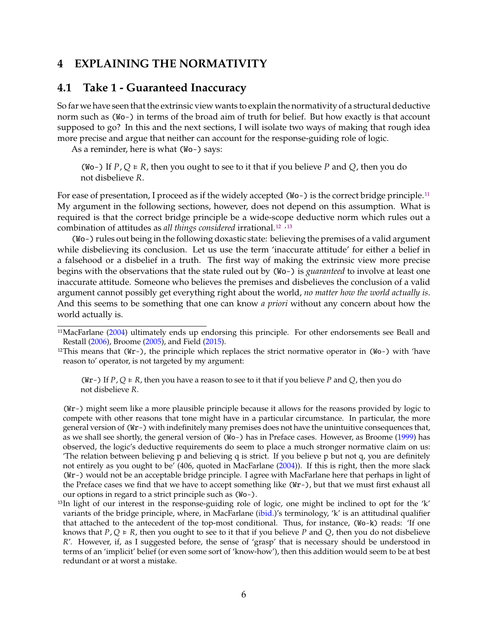### <span id="page-5-1"></span>**4 EXPLAINING THE NORMATIVITY**

### <span id="page-5-0"></span>**4.1 Take 1 - Guaranteed Inaccuracy**

So far we have seen that the extrinsic view wants to explain the normativity of a structural deductive norm such as (Wo-) in terms of the broad aim of truth for belief. But how exactly is that account supposed to go? In this and the next sections, I will isolate two ways of making that rough idea more precise and argue that neither can account for the response-guiding role of logic.

As a reminder, here is what (Wo-) says:

(Wo-) If  $P$ ,  $Q \in R$ , then you ought to see to it that if you believe P and Q, then you do not disbelieve R.

For ease of presentation, I proceed as if the widely accepted (Wo-) is the correct bridge principle.<sup>[11](#page-0-0)</sup> My argument in the following sections, however, does not depend on this assumption. What is required is that the correct bridge principle be a wide-scope deductive norm which rules out a combination of attitudes as *all things considered* irrational.<sup>[12](#page-0-0)</sup><sup>,[13](#page-0-0)</sup>

(Wo-) rules out being in the following doxastic state: believing the premises of a valid argument while disbelieving its conclusion. Let us use the term 'inaccurate attitude' for either a belief in a falsehood or a disbelief in a truth. The first way of making the extrinsic view more precise begins with the observations that the state ruled out by (Wo-) is *guaranteed* to involve at least one inaccurate attitude. Someone who believes the premises and disbelieves the conclusion of a valid argument cannot possibly get everything right about the world, *no matter how the world actually is*. And this seems to be something that one can know *a priori* without any concern about how the world actually is.

(Wr-) If P, Q  $\in$  R, then you have a reason to see to it that if you believe P and Q, then you do not disbelieve R.

(Wr-) might seem like a more plausible principle because it allows for the reasons provided by logic to compete with other reasons that tone might have in a particular circumstance. In particular, the more general version of (Wr-) with indefinitely many premises does not have the unintuitive consequences that, as we shall see shortly, the general version of (Wo-) has in Preface cases. However, as Broome [\(1999\)](#page-13-3) has observed, the logic's deductive requirements do seem to place a much stronger normative claim on us: 'The relation between believing p and believing q is strict. If you believe p but not q, you are definitely not entirely as you ought to be' (406, quoted in MacFarlane [\(2004\)](#page-13-0)). If this is right, then the more slack (Wr-) would not be an acceptable bridge principle. I agree with MacFarlane here that perhaps in light of the Preface cases we find that we have to accept something like (Wr-), but that we must first exhaust all our options in regard to a strict principle such as (Wo-).

<sup>&</sup>lt;sup>11</sup>MacFarlane [\(2004\)](#page-13-0) ultimately ends up endorsing this principle. For other endorsements see Beall and Restall [\(2006\)](#page-13-12), Broome [\(2005\)](#page-13-13), and Field [\(2015\)](#page-13-7).

<sup>&</sup>lt;sup>12</sup>This means that (Wr-), the principle which replaces the strict normative operator in (Wo-) with 'have reason to' operator, is not targeted by my argument:

<sup>13</sup>In light of our interest in the response-guiding role of logic, one might be inclined to opt for the 'k' variants of the bridge principle, where, in MacFarlane [\(ibid.\)](#page-13-0)'s terminology, 'k' is an attitudinal qualifier that attached to the antecedent of the top-most conditional. Thus, for instance, (Wo-k) reads: 'If one knows that  $P$ ,  $Q \in R$ , then you ought to see to it that if you believe P and Q, then you do not disbelieve  $R'$ . However, if, as I suggested before, the sense of 'grasp' that is necessary should be understood in terms of an 'implicit' belief (or even some sort of 'know-how'), then this addition would seem to be at best redundant or at worst a mistake.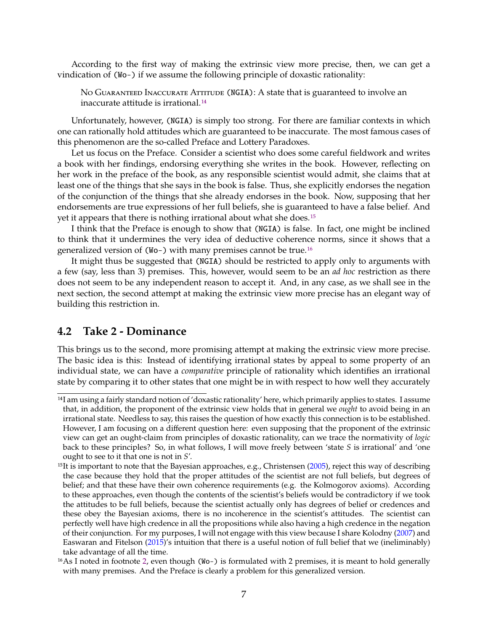<span id="page-6-1"></span>According to the first way of making the extrinsic view more precise, then, we can get a vindication of (Wo-) if we assume the following principle of doxastic rationality:

No GUARANTEED INACCURATE ATTITUDE (NGIA): A state that is guaranteed to involve an inaccurate attitude is irrational.[14](#page-0-0)

Unfortunately, however, (NGIA) is simply too strong. For there are familiar contexts in which one can rationally hold attitudes which are guaranteed to be inaccurate. The most famous cases of this phenomenon are the so-called Preface and Lottery Paradoxes.

Let us focus on the Preface. Consider a scientist who does some careful fieldwork and writes a book with her findings, endorsing everything she writes in the book. However, reflecting on her work in the preface of the book, as any responsible scientist would admit, she claims that at least one of the things that she says in the book is false. Thus, she explicitly endorses the negation of the conjunction of the things that she already endorses in the book. Now, supposing that her endorsements are true expressions of her full beliefs, she is guaranteed to have a false belief. And yet it appears that there is nothing irrational about what she does.<sup>[15](#page-0-0)</sup>

I think that the Preface is enough to show that (NGIA) is false. In fact, one might be inclined to think that it undermines the very idea of deductive coherence norms, since it shows that a generalized version of (Wo-) with many premises cannot be true.[16](#page-0-0)

It might thus be suggested that (NGIA) should be restricted to apply only to arguments with a few (say, less than 3) premises. This, however, would seem to be an *ad hoc* restriction as there does not seem to be any independent reason to accept it. And, in any case, as we shall see in the next section, the second attempt at making the extrinsic view more precise has an elegant way of building this restriction in.

#### <span id="page-6-0"></span>**4.2 Take 2 - Dominance**

This brings us to the second, more promising attempt at making the extrinsic view more precise. The basic idea is this: Instead of identifying irrational states by appeal to some property of an individual state, we can have a *comparative* principle of rationality which identifies an irrational state by comparing it to other states that one might be in with respect to how well they accurately

<sup>&</sup>lt;sup>14</sup>I am using a fairly standard notion of 'doxastic rationality' here, which primarily applies to states. I assume that, in addition, the proponent of the extrinsic view holds that in general we *ought* to avoid being in an irrational state. Needless to say, this raises the question of how exactly this connection is to be established. However, I am focusing on a different question here: even supposing that the proponent of the extrinsic view can get an ought-claim from principles of doxastic rationality, can we trace the normativity of *logic* back to these principles? So, in what follows, I will move freely between 'state S is irrational' and 'one ought to see to it that one is not in  $S'$ .

<sup>&</sup>lt;sup>15</sup>It is important to note that the Bayesian approaches, e.g., Christensen [\(2005\)](#page-13-14), reject this way of describing the case because they hold that the proper attitudes of the scientist are not full beliefs, but degrees of belief; and that these have their own coherence requirements (e.g. the Kolmogorov axioms). According to these approaches, even though the contents of the scientist's beliefs would be contradictory if we took the attitudes to be full beliefs, because the scientist actually only has degrees of belief or credences and these obey the Bayesian axioms, there is no incoherence in the scientist's attitudes. The scientist can perfectly well have high credence in all the propositions while also having a high credence in the negation of their conjunction. For my purposes, I will not engage with this view because I share Kolodny [\(2007\)](#page-13-4) and Easwaran and Fitelson [\(2015\)](#page-13-2)'s intuition that there is a useful notion of full belief that we (ineliminably) take advantage of all the time.

<sup>16</sup>As I noted in footnote [2,](#page-1-0) even though (Wo-) is formulated with 2 premises, it is meant to hold generally with many premises. And the Preface is clearly a problem for this generalized version.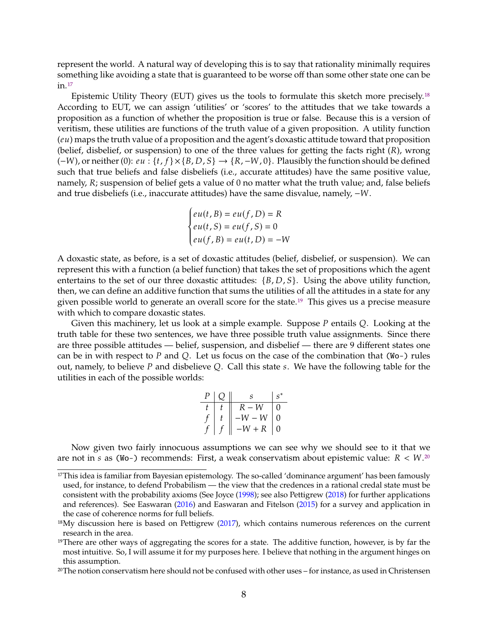<span id="page-7-0"></span>represent the world. A natural way of developing this is to say that rationality minimally requires something like avoiding a state that is guaranteed to be worse off than some other state one can be in.[17](#page-0-0)

Epistemic Utility Theory (EUT) gives us the tools to formulate this sketch more precisely.<sup>[18](#page-0-0)</sup> According to EUT, we can assign 'utilities' or 'scores' to the attitudes that we take towards a proposition as a function of whether the proposition is true or false. Because this is a version of veritism, these utilities are functions of the truth value of a given proposition. A utility function  $(eu)$  maps the truth value of a proposition and the agent's doxastic attitude toward that proposition (belief, disbelief, or suspension) to one of the three values for getting the facts right  $(R)$ , wrong  $(-W)$ , or neither (0): *eu* : {*t*, *f*} × {*B*, *D*, *S*} → {*R*, -*W*, 0}. Plausibly the function should be defined such that true beliefs and false disbeliefs (i.e., accurate attitudes) have the same positive value, namely, R; suspension of belief gets a value of 0 no matter what the truth value; and, false beliefs and true disbeliefs (i.e., inaccurate attitudes) have the same disvalue, namely, -*W*.

$$
\begin{cases} e u(t, B) = e u(f, D) = R \\ e u(t, S) = e u(f, S) = 0 \\ e u(f, B) = e u(t, D) = -W \end{cases}
$$

J.

A doxastic state, as before, is a set of doxastic attitudes (belief, disbelief, or suspension). We can represent this with a function (a belief function) that takes the set of propositions which the agent entertains to the set of our three doxastic attitudes:  $\{B, D, S\}$ . Using the above utility function, then, we can define an additive function that sums the utilities of all the attitudes in a state for any given possible world to generate an overall score for the state.<sup>[19](#page-0-0)</sup> This gives us a precise measure with which to compare doxastic states.

Given this machinery, let us look at a simple example. Suppose  $P$  entails  $Q$ . Looking at the truth table for these two sentences, we have three possible truth value assignments. Since there are three possible attitudes — belief, suspension, and disbelief — there are 9 different states one can be in with respect to  $P$  and  $Q$ . Let us focus on the case of the combination that (Wo-) rules out, namely, to believe  $P$  and disbelieve  $Q$ . Call this state  $s$ . We have the following table for the utilities in each of the possible worlds:

| $\bm{P}$ | S        | $s^*$    |
|----------|----------|----------|
|          | $R-W$    | 0        |
|          | $-W-W$   | O        |
|          | $-W + R$ | $\theta$ |
|          |          |          |

Now given two fairly innocuous assumptions we can see why we should see to it that we are not in  $s$  as (Wo-) recommends: First, a weak conservatism about epistemic value:  $R < W$ .<sup>[20](#page-0-0)</sup>

<sup>&</sup>lt;sup>17</sup>This idea is familiar from Bayesian epistemology. The so-called 'dominance argument' has been famously used, for instance, to defend Probabilism — the view that the credences in a rational credal state must be consistent with the probability axioms (See Joyce [\(1998\)](#page-13-15); see also Pettigrew [\(2018\)](#page-14-3) for further applications and references). See Easwaran [\(2016\)](#page-13-16) and Easwaran and Fitelson [\(2015\)](#page-13-2) for a survey and application in the case of coherence norms for full beliefs.

<sup>&</sup>lt;sup>18</sup>My discussion here is based on Pettigrew [\(2017\)](#page-14-15), which contains numerous references on the current research in the area.

<sup>&</sup>lt;sup>19</sup>There are other ways of aggregating the scores for a state. The additive function, however, is by far the most intuitive. So, I will assume it for my purposes here. I believe that nothing in the argument hinges on this assumption.

<sup>20</sup>The notion conservatism here should not be confused with other uses – for instance, as used in Christensen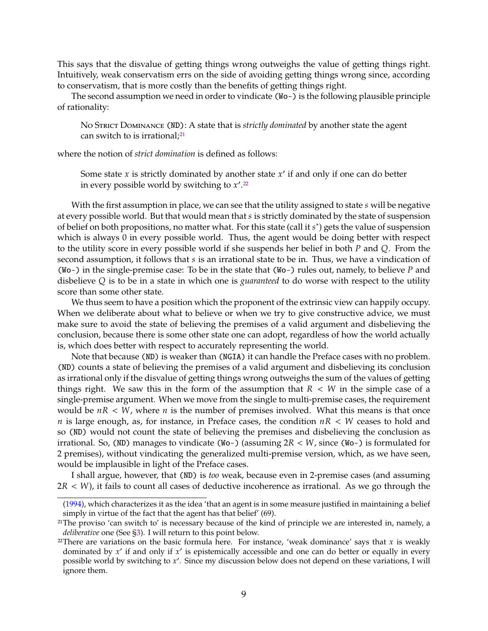This says that the disvalue of getting things wrong outweighs the value of getting things right. Intuitively, weak conservatism errs on the side of avoiding getting things wrong since, according to conservatism, that is more costly than the benefits of getting things right.

The second assumption we need in order to vindicate (Wo-) is the following plausible principle of rationality:

No Strict Dominance (ND): A state that is *strictly dominated* by another state the agent can switch to is irrational;<sup>[21](#page-0-0)</sup>

where the notion of *strict domination* is defined as follows:

Some state *x* is strictly dominated by another state *x'* if and only if one can do better in every possible world by switching to  $x'$  <sup>22</sup> in every possible world by switching to  $x'^{22}$  $x'^{22}$  $x'^{22}$ 

With the first assumption in place, we can see that the utility assigned to state  $s$  will be negative at every possible world. But that would mean that s is strictly dominated by the state of suspension of belief on both propositions, no matter what. For this state (call it s<sup>\*</sup>) gets the value of suspension<br>which is always 0 in every possible world. Thus, the agent would be doing better with respect which is always 0 in every possible world. Thus, the agent would be doing better with respect to the utility score in every possible world if she suspends her belief in both  $P$  and  $Q$ . From the second assumption, it follows that s is an irrational state to be in. Thus, we have a vindication of (Wo-) in the single-premise case: To be in the state that (Wo-) rules out, namely, to believe  $P$  and disbelieve Q is to be in a state in which one is *guaranteed* to do worse with respect to the utility score than some other state.

We thus seem to have a position which the proponent of the extrinsic view can happily occupy. When we deliberate about what to believe or when we try to give constructive advice, we must make sure to avoid the state of believing the premises of a valid argument and disbelieving the conclusion, because there is some other state one can adopt, regardless of how the world actually is, which does better with respect to accurately representing the world.

Note that because (ND) is weaker than (NGIA) it can handle the Preface cases with no problem. (ND) counts a state of believing the premises of a valid argument and disbelieving its conclusion as irrational only if the disvalue of getting things wrong outweighs the sum of the values of getting things right. We saw this in the form of the assumption that  $R < W$  in the simple case of a single-premise argument. When we move from the single to multi-premise cases, the requirement would be  $nR < W$ , where *n* is the number of premises involved. What this means is that once  $n$  is large enough, as, for instance, in Preface cases, the condition  $nR < W$  ceases to hold and so (ND) would not count the state of believing the premises and disbelieving the conclusion as irrational. So, (ND) manages to vindicate (Wo-) (assuming  $2R < W$ , since (Wo-) is formulated for 2 premises), without vindicating the generalized multi-premise version, which, as we have seen, would be implausible in light of the Preface cases.

I shall argue, however, that (ND) is *too* weak, because even in 2-premise cases (and assuming  $2R < W$ ), it fails to count all cases of deductive incoherence as irrational. As we go through the

[<sup>\(1994\)</sup>](#page-13-17), which characterizes it as the idea 'that an agent is in some measure justified in maintaining a belief simply in virtue of the fact that the agent has that belief' (69).

<sup>21</sup>The proviso 'can switch to' is necessary because of the kind of principle we are interested in, namely, a *deliberative* one (See [§3\)](#page-3-0). I will return to this point below.

<sup>&</sup>lt;sup>22</sup>There are variations on the basic formula here. For instance, 'weak dominance' says that x is weakly dominated by  $x'$  if and only if  $x'$  is epistemically accessible and one can do better or equally in every nossible world by switching to  $x'$ . Since my discussion below does not depend on these variations I will possible world by switching to  $x'$ . Since my discussion below does not depend on these variations, I will impre them ignore them.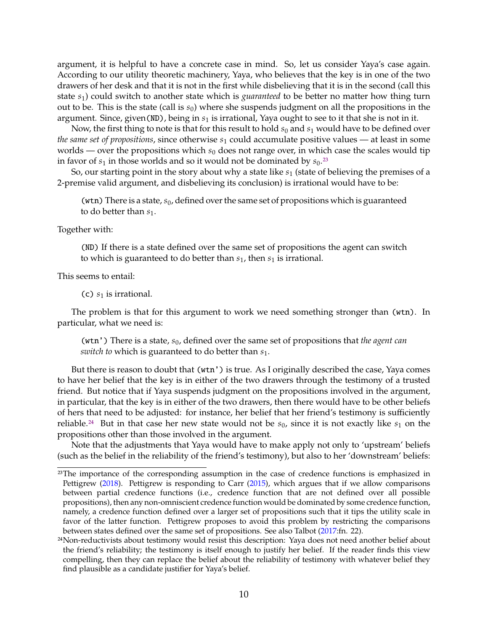<span id="page-9-0"></span>argument, it is helpful to have a concrete case in mind. So, let us consider Yaya's case again. According to our utility theoretic machinery, Yaya, who believes that the key is in one of the two drawers of her desk and that it is not in the first while disbelieving that it is in the second (call this state  $s_1$ ) could switch to another state which is *guaranteed* to be better no matter how thing turn out to be. This is the state (call is  $s<sub>0</sub>$ ) where she suspends judgment on all the propositions in the argument. Since, given(ND), being in  $s_1$  is irrational, Yaya ought to see to it that she is not in it.

Now, the first thing to note is that for this result to hold  $s_0$  and  $s_1$  would have to be defined over *the same set of propositions,* since otherwise  $s_1$  could accumulate positive values — at least in some worlds — over the propositions which  $s_0$  does not range over, in which case the scales would tip in favor of  $s_1$  in those worlds and so it would not be dominated by  $s_0$ .<sup>[23](#page-0-0)</sup>

So, our starting point in the story about why a state like  $s_1$  (state of believing the premises of a 2-premise valid argument, and disbelieving its conclusion) is irrational would have to be:

(wtn) There is a state,  $s_0$ , defined over the same set of propositions which is guaranteed to do better than  $s_1$ .

Together with:

(ND) If there is a state defined over the same set of propositions the agent can switch to which is guaranteed to do better than  $s_1$ , then  $s_1$  is irrational.

This seems to entail:

(c)  $s_1$  is irrational.

The problem is that for this argument to work we need something stronger than (wtn). In particular, what we need is:

(wtn') There is a state,  $s_0$ , defined over the same set of propositions that *the agent can switch to* which is guaranteed to do better than  $s_1$ .

But there is reason to doubt that (wtn') is true. As I originally described the case, Yaya comes to have her belief that the key is in either of the two drawers through the testimony of a trusted friend. But notice that if Yaya suspends judgment on the propositions involved in the argument, in particular, that the key is in either of the two drawers, then there would have to be other beliefs of hers that need to be adjusted: for instance, her belief that her friend's testimony is sufficiently reliable.<sup>[24](#page-0-0)</sup> But in that case her new state would not be  $s_0$ , since it is not exactly like  $s_1$  on the propositions other than those involved in the argument.

Note that the adjustments that Yaya would have to make apply not only to 'upstream' beliefs (such as the belief in the reliability of the friend's testimony), but also to her 'downstream' beliefs:

<sup>&</sup>lt;sup>23</sup>The importance of the corresponding assumption in the case of credence functions is emphasized in Pettigrew [\(2018\)](#page-14-3). Pettigrew is responding to Carr [\(2015\)](#page-13-18), which argues that if we allow comparisons between partial credence functions (i.e., credence function that are not defined over all possible propositions), then any non-omniscient credence function would be dominated by some credence function, namely, a credence function defined over a larger set of propositions such that it tips the utility scale in favor of the latter function. Pettigrew proposes to avoid this problem by restricting the comparisons between states defined over the same set of propositions. See also Talbot [\(2017:](#page-14-16)fn. 22).

<sup>24</sup>Non-reductivists about testimony would resist this description: Yaya does not need another belief about the friend's reliability; the testimony is itself enough to justify her belief. If the reader finds this view compelling, then they can replace the belief about the reliability of testimony with whatever belief they find plausible as a candidate justifier for Yaya's belief.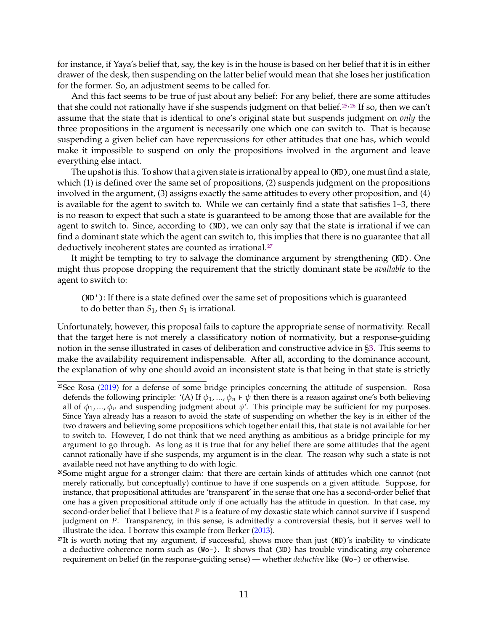<span id="page-10-0"></span>for instance, if Yaya's belief that, say, the key is in the house is based on her belief that it is in either drawer of the desk, then suspending on the latter belief would mean that she loses her justification for the former. So, an adjustment seems to be called for.

And this fact seems to be true of just about any belief: For any belief, there are some attitudes that she could not rationally have if she suspends judgment on that belief.<sup>[25](#page-0-0),[26](#page-0-0)</sup> If so, then we can't assume that the state that is identical to one's original state but suspends judgment on *only* the three propositions in the argument is necessarily one which one can switch to. That is because suspending a given belief can have repercussions for other attitudes that one has, which would make it impossible to suspend on only the propositions involved in the argument and leave everything else intact.

The upshot is this. To show that a given state is irrational by appeal to (ND), one must find a state, which (1) is defined over the same set of propositions, (2) suspends judgment on the propositions involved in the argument, (3) assigns exactly the same attitudes to every other proposition, and (4) is available for the agent to switch to. While we can certainly find a state that satisfies 1–3, there is no reason to expect that such a state is guaranteed to be among those that are available for the agent to switch to. Since, according to (ND), we can only say that the state is irrational if we can find a dominant state which the agent can switch to, this implies that there is no guarantee that all deductively incoherent states are counted as irrational.<sup>[27](#page-0-0)</sup>

It might be tempting to try to salvage the dominance argument by strengthening (ND). One might thus propose dropping the requirement that the strictly dominant state be *available* to the agent to switch to:

(ND'): If there is a state defined over the same set of propositions which is guaranteed to do better than  $S_1$ , then  $S_1$  is irrational.

Unfortunately, however, this proposal fails to capture the appropriate sense of normativity. Recall that the target here is not merely a classificatory notion of normativity, but a response-guiding notion in the sense illustrated in cases of deliberation and constructive advice in [§3.](#page-3-0) This seems to make the availability requirement indispensable. After all, according to the dominance account, the explanation of why one should avoid an inconsistent state is that being in that state is strictly

 $25$ See Rosa [\(2019\)](#page-14-17) for a defense of some bridge principles concerning the attitude of suspension. Rosa defends the following principle: '(A) If  $\phi_1$ , ...,  $\phi_n \vdash \psi$  then there is a reason against one's both believing all of  $\phi_1$ , ...,  $\phi_n$  and suspending judgment about  $\psi'$ . This principle may be sufficient for my purposes. Since Yaya already has a reason to avoid the state of suspending on whether the key is in either of the two drawers and believing some propositions which together entail this, that state is not available for her to switch to. However, I do not think that we need anything as ambitious as a bridge principle for my argument to go through. As long as it is true that for any belief there are some attitudes that the agent cannot rationally have if she suspends, my argument is in the clear. The reason why such a state is not available need not have anything to do with logic.

<sup>26</sup>Some might argue for a stronger claim: that there are certain kinds of attitudes which one cannot (not merely rationally, but conceptually) continue to have if one suspends on a given attitude. Suppose, for instance, that propositional attitudes are 'transparent' in the sense that one has a second-order belief that one has a given propositional attitude only if one actually has the attitude in question. In that case, my second-order belief that I believe that  $P$  is a feature of my doxastic state which cannot survive if I suspend judgment on  $P$ . Transparency, in this sense, is admittedly a controversial thesis, but it serves well to illustrate the idea. I borrow this example from Berker [\(2013\)](#page-13-5).

<sup>27</sup>It is worth noting that my argument, if successful, shows more than just (ND)'s inability to vindicate a deductive coherence norm such as (Wo-). It shows that (ND) has trouble vindicating *any* coherence requirement on belief (in the response-guiding sense) — whether *deductive* like (Wo-) or otherwise.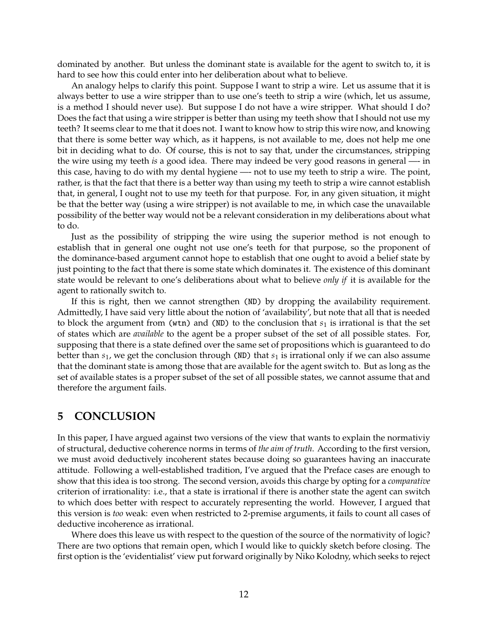dominated by another. But unless the dominant state is available for the agent to switch to, it is hard to see how this could enter into her deliberation about what to believe.

An analogy helps to clarify this point. Suppose I want to strip a wire. Let us assume that it is always better to use a wire stripper than to use one's teeth to strip a wire (which, let us assume, is a method I should never use). But suppose I do not have a wire stripper. What should I do? Does the fact that using a wire stripper is better than using my teeth show that I should not use my teeth? It seems clear to me that it does not. I want to know how to strip this wire now, and knowing that there is some better way which, as it happens, is not available to me, does not help me one bit in deciding what to do. Of course, this is not to say that, under the circumstances, stripping the wire using my teeth *is* a good idea. There may indeed be very good reasons in general —- in this case, having to do with my dental hygiene —- not to use my teeth to strip a wire. The point, rather, is that the fact that there is a better way than using my teeth to strip a wire cannot establish that, in general, I ought not to use my teeth for that purpose. For, in any given situation, it might be that the better way (using a wire stripper) is not available to me, in which case the unavailable possibility of the better way would not be a relevant consideration in my deliberations about what to do.

Just as the possibility of stripping the wire using the superior method is not enough to establish that in general one ought not use one's teeth for that purpose, so the proponent of the dominance-based argument cannot hope to establish that one ought to avoid a belief state by just pointing to the fact that there is some state which dominates it. The existence of this dominant state would be relevant to one's deliberations about what to believe *only if* it is available for the agent to rationally switch to.

If this is right, then we cannot strengthen (ND) by dropping the availability requirement. Admittedly, I have said very little about the notion of 'availability', but note that all that is needed to block the argument from (wtn) and (ND) to the conclusion that  $s_1$  is irrational is that the set of states which are *available* to the agent be a proper subset of the set of all possible states. For, supposing that there is a state defined over the same set of propositions which is guaranteed to do better than  $s_1$ , we get the conclusion through (ND) that  $s_1$  is irrational only if we can also assume that the dominant state is among those that are available for the agent switch to. But as long as the set of available states is a proper subset of the set of all possible states, we cannot assume that and therefore the argument fails.

### <span id="page-11-0"></span>**5 CONCLUSION**

In this paper, I have argued against two versions of the view that wants to explain the normativiy of structural, deductive coherence norms in terms of *the aim of truth*. According to the first version, we must avoid deductively incoherent states because doing so guarantees having an inaccurate attitude. Following a well-established tradition, I've argued that the Preface cases are enough to show that this idea is too strong. The second version, avoids this charge by opting for a *comparative* criterion of irrationality: i.e., that a state is irrational if there is another state the agent can switch to which does better with respect to accurately representing the world. However, I argued that this version is *too* weak: even when restricted to 2-premise arguments, it fails to count all cases of deductive incoherence as irrational.

Where does this leave us with respect to the question of the source of the normativity of logic? There are two options that remain open, which I would like to quickly sketch before closing. The first option is the 'evidentialist' view put forward originally by Niko Kolodny, which seeks to reject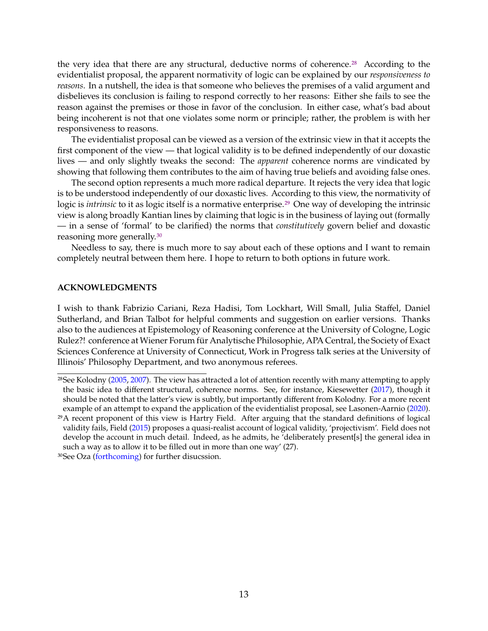<span id="page-12-0"></span>the very idea that there are any structural, deductive norms of coherence.<sup>[28](#page-0-0)</sup> According to the evidentialist proposal, the apparent normativity of logic can be explained by our *responsiveness to reasons*. In a nutshell, the idea is that someone who believes the premises of a valid argument and disbelieves its conclusion is failing to respond correctly to her reasons: Either she fails to see the reason against the premises or those in favor of the conclusion. In either case, what's bad about being incoherent is not that one violates some norm or principle; rather, the problem is with her responsiveness to reasons.

The evidentialist proposal can be viewed as a version of the extrinsic view in that it accepts the first component of the view — that logical validity is to be defined independently of our doxastic lives — and only slightly tweaks the second: The *apparent* coherence norms are vindicated by showing that following them contributes to the aim of having true beliefs and avoiding false ones.

The second option represents a much more radical departure. It rejects the very idea that logic is to be understood independently of our doxastic lives. According to this view, the normativity of logic is *intrinsic* to it as logic itself is a normative enterprise.<sup>[29](#page-0-0)</sup> One way of developing the intrinsic view is along broadly Kantian lines by claiming that logic is in the business of laying out (formally — in a sense of 'formal' to be clarified) the norms that *constitutively* govern belief and doxastic reasoning more generally.[30](#page-0-0)

Needless to say, there is much more to say about each of these options and I want to remain completely neutral between them here. I hope to return to both options in future work.

#### **ACKNOWLEDGMENTS**

I wish to thank Fabrizio Cariani, Reza Hadisi, Tom Lockhart, Will Small, Julia Staffel, Daniel Sutherland, and Brian Talbot for helpful comments and suggestion on earlier versions. Thanks also to the audiences at Epistemology of Reasoning conference at the University of Cologne, Logic Rulez?! conference at Wiener Forum für Analytische Philosophie, APA Central, the Society of Exact Sciences Conference at University of Connecticut, Work in Progress talk series at the University of Illinois' Philosophy Department, and two anonymous referees.

<sup>&</sup>lt;sup>28</sup>See Kolodny [\(2005,](#page-13-10) [2007\)](#page-13-4). The view has attracted a lot of attention recently with many attempting to apply the basic idea to different structural, coherence norms. See, for instance, Kiesewetter [\(2017\)](#page-13-19), though it should be noted that the latter's view is subtly, but importantly different from Kolodny. For a more recent example of an attempt to expand the application of the evidentialist proposal, see Lasonen-Aarnio [\(2020\)](#page-13-20).

 $^{29}$ A recent proponent of this view is Hartry Field. After arguing that the standard definitions of logical validity fails, Field [\(2015\)](#page-13-7) proposes a quasi-realist account of logical validity, 'projectivism'. Field does not develop the account in much detail. Indeed, as he admits, he 'deliberately present[s] the general idea in such a way as to allow it to be filled out in more than one way' (27).

<sup>30</sup>See Oza [\(forthcoming\)](#page-13-21) for further disucssion.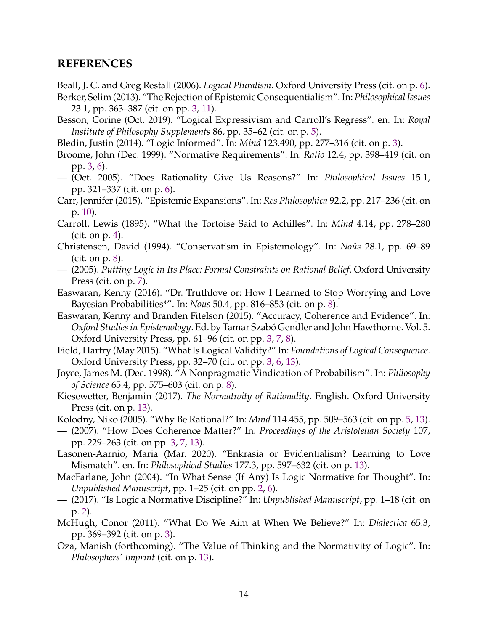## **REFERENCES**

<span id="page-13-12"></span>Beall, J. C. and Greg Restall (2006). *Logical Pluralism*. Oxford University Press (cit. on p. [6\)](#page-5-1).

- <span id="page-13-5"></span>Berker, Selim (2013). "The Rejection of Epistemic Consequentialism". In: *Philosophical Issues* 23.1, pp. 363–387 (cit. on pp. [3,](#page-2-0) [11\)](#page-10-0).
- <span id="page-13-11"></span>Besson, Corine (Oct. 2019). "Logical Expressivism and Carroll's Regress". en. In: *Royal Institute of Philosophy Supplements* 86, pp. 35–62 (cit. on p. [5\)](#page-4-0).
- <span id="page-13-8"></span>Bledin, Justin (2014). "Logic Informed". In: *Mind* 123.490, pp. 277–316 (cit. on p. [3\)](#page-2-0).
- <span id="page-13-3"></span>Broome, John (Dec. 1999). "Normative Requirements". In: *Ratio* 12.4, pp. 398–419 (cit. on pp. [3,](#page-2-0) [6\)](#page-5-1).
- <span id="page-13-13"></span>— (Oct. 2005). "Does Rationality Give Us Reasons?" In: *Philosophical Issues* 15.1, pp. 321–337 (cit. on p. [6\)](#page-5-1).
- <span id="page-13-18"></span>Carr, Jennifer (2015). "Epistemic Expansions". In: *Res Philosophica* 92.2, pp. 217–236 (cit. on p. [10\)](#page-9-0).
- <span id="page-13-9"></span>Carroll, Lewis (1895). "What the Tortoise Said to Achilles". In: *Mind* 4.14, pp. 278–280 (cit. on p. [4\)](#page-3-1).
- <span id="page-13-17"></span>Christensen, David (1994). "Conservatism in Epistemology". In: *Noûs* 28.1, pp. 69–89 (cit. on p. [8\)](#page-7-0).
- <span id="page-13-14"></span>— (2005). *Putting Logic in Its Place: Formal Constraints on Rational Belief*. Oxford University Press (cit. on p. [7\)](#page-6-1).
- <span id="page-13-16"></span>Easwaran, Kenny (2016). "Dr. Truthlove or: How I Learned to Stop Worrying and Love Bayesian Probabilities\*". In: *Nous* 50.4, pp. 816–853 (cit. on p. [8\)](#page-7-0).
- <span id="page-13-2"></span>Easwaran, Kenny and Branden Fitelson (2015). "Accuracy, Coherence and Evidence". In: *Oxford Studies in Epistemology*. Ed. by Tamar Szabó Gendler and John Hawthorne. Vol. 5. Oxford University Press, pp. 61–96 (cit. on pp. [3,](#page-2-0) [7,](#page-6-1) [8\)](#page-7-0).
- <span id="page-13-7"></span>Field, Hartry (May 2015). "What Is Logical Validity?" In: *Foundations of Logical Consequence*. Oxford University Press, pp. 32–70 (cit. on pp. [3,](#page-2-0) [6,](#page-5-1) [13\)](#page-12-0).
- <span id="page-13-15"></span>Joyce, James M. (Dec. 1998). "A Nonpragmatic Vindication of Probabilism". In: *Philosophy of Science* 65.4, pp. 575–603 (cit. on p. [8\)](#page-7-0).
- <span id="page-13-19"></span>Kiesewetter, Benjamin (2017). *The Normativity of Rationality*. English. Oxford University Press (cit. on p. [13\)](#page-12-0).
- <span id="page-13-10"></span>Kolodny, Niko (2005). "Why Be Rational?" In: *Mind* 114.455, pp. 509–563 (cit. on pp. [5,](#page-4-0) [13\)](#page-12-0).
- <span id="page-13-4"></span>— (2007). "How Does Coherence Matter?" In: *Proceedings of the Aristotelian Society* 107, pp. 229–263 (cit. on pp. [3,](#page-2-0) [7,](#page-6-1) [13\)](#page-12-0).
- <span id="page-13-20"></span>Lasonen-Aarnio, Maria (Mar. 2020). "Enkrasia or Evidentialism? Learning to Love Mismatch". en. In: *Philosophical Studies* 177.3, pp. 597–632 (cit. on p. [13\)](#page-12-0).
- <span id="page-13-0"></span>MacFarlane, John (2004). "In What Sense (If Any) Is Logic Normative for Thought". In: *Unpublished Manuscript*, pp. 1–25 (cit. on pp. [2,](#page-1-1) [6\)](#page-5-1).
- <span id="page-13-1"></span>— (2017). "Is Logic a Normative Discipline?" In: *Unpublished Manuscript*, pp. 1–18 (cit. on p. [2\)](#page-1-1).
- <span id="page-13-6"></span>McHugh, Conor (2011). "What Do We Aim at When We Believe?" In: *Dialectica* 65.3, pp. 369–392 (cit. on p. [3\)](#page-2-0).
- <span id="page-13-21"></span>Oza, Manish (forthcoming). "The Value of Thinking and the Normativity of Logic". In: *Philosophers' Imprint* (cit. on p. [13\)](#page-12-0).